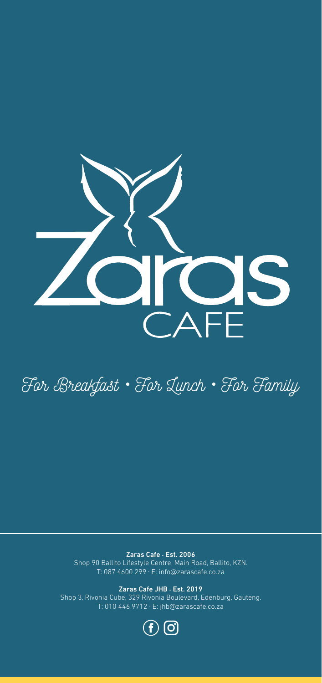

For Breakfast • For Lunch • For Family

Zaras Cafe . Est. 2006 Shop 90 Ballito Lifestyle Centre, Main Road, Ballito, KZN. T: 087 4600 299 . E: info@zarascafe.co.za

Zaras Cafe JHB . Est. 2019 Shop 3, Rivonia Cube, 329 Rivonia Boulevard, Edenburg, Gauteng. T: 010 446 9712 . E: jhb@zarascafe.co.za

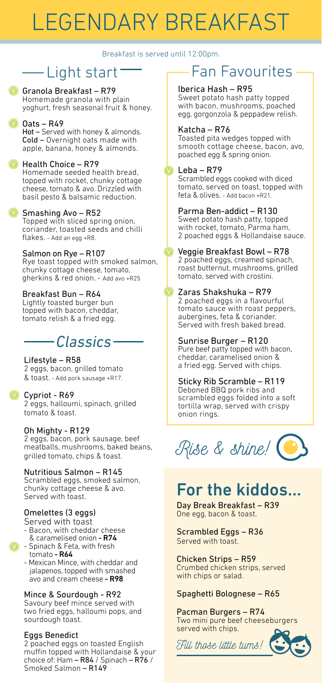# LEGENDARY BREAKFAST

Breakfast is served until 12:00pm.

# Light start

Granola Breakfast – R79 V Homemade granola with plain yoghurt, fresh seasonal fruit & honey.

**Dats** - R49

Hot – Served with honey & almonds. Cold – Overnight oats made with apple, banana, honey & almonds.

### **D** Health Choice - R79

Homemade seeded health bread, topped with rocket, chunky cottage cheese, tomato & avo. Drizzled with basil pesto & balsamic reduction.

### **V** Smashing Avo - R52

Topped with sliced spring onion, coriander, toasted seeds and chilli flakes. - Add an egg +R8.

### Salmon on Rye – R107

Rye toast topped with smoked salmon, chunky cottage cheese, tomato, gherkins & red onion. - Add avo +R25

### Breakfast Bun – R64

Lightly toasted burger bun topped with bacon, cheddar, tomato relish & a fried egg.

# *Classics*

### Lifestyle – R58

2 eggs, bacon, grilled tomato & toast. - Add pork sausage +R17.

### **V** Cypriot - R69

2 eggs, halloumi, spinach, grilled tomato & toast.

### Oh Mighty - R129

2 eggs, bacon, pork sausage, beef meatballs, mushrooms, baked beans, grilled tomato, chips & toast.

### Nutritious Salmon – R145

Scrambled eggs, smoked salmon, chunky cottage cheese & avo. Served with toast.

# Omelettes (3 eggs)

Served with toast - Bacon, with cheddar cheese

- & caramelised onion R74
- $\vee$  Spinach & Feta, with fresh tomato - R64
	- Mexican Mince, with cheddar and jalapenos, topped with smashed avo and cream cheese - R98

### Mince & Sourdough - R92

Savoury beef mince served with two fried eggs, halloumi pops, and sourdough toast.

### Eggs Benedict

2 poached eggs on toasted English muffin topped with Hollandaise & your choice of: Ham  $-$  R84 / Spinach  $-$  R76 / Smoked Salmon – R149

# Fan Favourites

### Iberica Hash – R95

Sweet potato hash patty topped with bacon, mushrooms, poached egg, gorgonzola & peppadew relish.

### Katcha – R76

Toasted pita wedges topped with smooth cottage cheese, bacon, avo, poached egg & spring onion.

### Leba – R79

Scrambled eggs cooked with diced tomato, served on toast, topped with feta & olives. - Add bacon +R21.

#### Parma Ben-addict – R130 Sweet potato hash patty, topped with rocket, tomato, Parma ham, 2 poached eggs & Hollandaise sauce.

#### Veggie Breakfast Bowl – R78 2 poached eggs, creamed spinach, roast butternut, mushrooms, grilled tomato, served with crostini.

## Zaras Shakshuka – R79

2 poached eggs in a flavourful tomato sauce with roast peppers, aubergines, feta & coriander. Served with fresh baked bread.

### Sunrise Burger – R120

Pure beef patty topped with bacon, cheddar, caramelised onion & a fried egg. Served with chips.

### Sticky Rib Scramble – R119

Deboned BBQ pork ribs and scrambled eggs folded into a soft tortilla wrap, served with crispy onion rings.

# Rise & shine!

# For the kiddos...

Day Break Breakfast – R39 One egg, bacon & toast.

### Scrambled Eggs – R36 Served with toast.

Chicken Strips – R59 Crumbed chicken strips, served with chips or salad.

### Spaghetti Bolognese – R65

Pacman Burgers – R74 Two mini pure beef cheeseburgers served with chips.

Fill those little tums!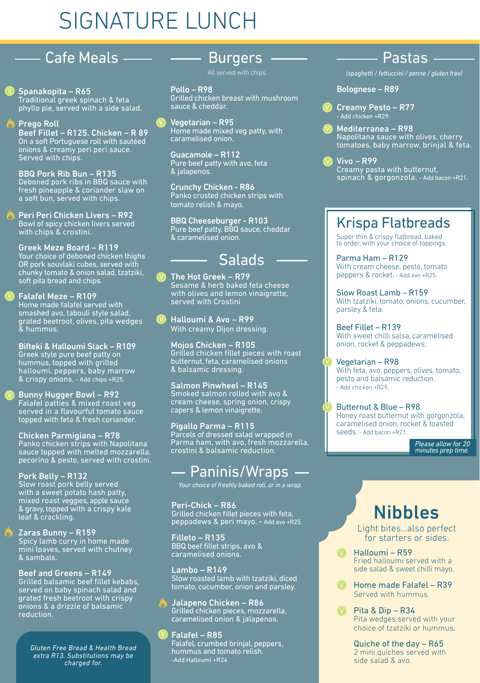# SIGNATURE LUNCH

# **- Cafe Meals**

Spanakopita – R65 Traditional greek spinach & feta phyllo pie, served with a side salad.

**Prego Roll** Beef Fillet – R125. Chicken – R 89 On a soft Portuguese roll with sautéed onions & creamy peri peri sauce. Served with chips.

BBQ Pork Rib Bun – R135 Deboned pork ribs in BBQ sauce with fresh pineapple & coriander slaw on a soft bun, served with chips.

Peri Peri Chicken Livers – R92 Bowl of spicy chicken livers served with chips & crostini.

Greek Meze Board – R119 Your choice of deboned chicken thighs OR pork souvlaki cubes, served with chunky tomato & onion salad, tzatziki, soft pita bread and chips.

#### Falafel Meze – R109 Home made falafel served with smashed avo, tabouli style salad, grated beetroot, olives, pita wedges & hummus.

Bifteki & Halloumi Stack – R109 Greek style pure beef patty on hummus, topped with grilled halloumi, peppers, baby marrow & crispy onions. - Add chips +R25.

#### V Bunny Hugger Bowl - R92 Falafel patties & mixed roast veg served in a flavourful tomato sauce topped with feta & fresh coriander.

Chicken Parmigiana – R78 Panko chicken strips with Napolitana sauce topped with melted mozzarella, pecorino & pesto, served with crostini.

#### Pork Belly – R132 Slow roast pork belly served with a sweet potato hash patty, mixed roast veggies, apple sauce & gravy, topped with a crispy kale leaf & crackling.

Zaras Bunny – R159 Spicy lamb curry in home made mini loaves, served with chutney & sambals.

Beef and Greens – R149 Grilled balsamic beef fillet kebabs, served on baby spinach salad and grated fresh beetroot with crispy onions & a drizzle of balsamic reduction.

*Gluten Free Bread & Health Bread extra R13. Substitutions may be charged for.*

# Burgers

All served with chips.

Pollo – R98 Grilled chicken breast with mushroom sauce & cheddar.

Vegetarian – R95 Home made mixed veg patty, with caramelised onion.

Guacamole – R112 Pure beef patty with avo, feta & jalapenos.

Crunchy Chicken - R86 Panko crusted chicken strips with tomato relish & mayo.

BBQ Cheeseburger - R103 Pure beef patty, BBQ sauce, cheddar & caramelised onion.

# Salads

# The Hot Greek - R79

Sesame & herb baked feta cheese with olives and lemon vinaigrette, served with Crostini

Halloumi & Avo – R99 With creamy Dijon dressing.

Mojos Chicken – R105 Grilled chicken fillet pieces with roast butternut, feta, caramelised onions & balsamic dressing.

Salmon Pinwheel – R145 Smoked salmon rolled with avo & cream cheese, spring onion, crispy capers & lemon vinaigrette.

Pigallo Parma – R115 Parcels of dressed salad wrapped in Parma ham, with avo, fresh mozzarella, crostini & balsamic reduction.

# $-$  Paninis/Wraps  $-$

*Your choice of freshly baked roll, or in a wrap.*

Peri-Chick – R86 Grilled chicken fillet pieces with feta, peppadews & peri mayo. - Add avo +R25.

Filleto – R135 BBQ beef fillet strips, avo & caramelised onions.

Lambo – R149 Slow roasted lamb with tzatziki, diced tomato, cucumber, onion and parsley.

Jalapeno Chicken – R86 Grilled chicken pieces, mozzarella, caramelised onion & jalapenos.

#### Falafel – R85  $(V)$

Falafel, crumbed brinjal, peppers, hummus and tomato relish. -Add Halloumi +R24

# Pastas

*(spaghetti / fettuccini / penne / gluten free)*

# Bolognese – R89

- V Creamy Pesto R77 - Add chicken +R29.
- Mediterranea R98 Napolitana sauce with olives, cherry tomatoes, baby marrow, brinjal & feta.

Vivo – R99 Creamy pasta with butternut, spinach & gorgonzola. - Add bacon +R21.

# Krispa Flatbreads

Super thin & crispy flatbread, baked to order, with your choice of toppings:

Parma Ham – R129 With cream cheese, pesto, tomato peppers & rocket. - Add avo +R25.

Slow Roast Lamb – R159 With tzatziki, tomato, onions, cucumber, parsley & feta.

Beef Fillet – R139 With sweet chilli salsa, caramelised onion, rocket & peppadews.

Vegetarian – R98 With feta, avo, peppers, olives, tomato, pesto and balsamic reduction. .<br>- Add chicken +R29.

Butternut & Blue – R98 Honey roast butternut with gorgonzola, caramelised onion, rocket & toasted seeds. - Add bacon +R21.

> *Please allow for 20 minutes prep time.*

# Nibbles

Light bites…also perfect for starters or sides

- 1 Halloumi R59 Fried halloumi served with a side salad & sweet chilli mayo.
- **D** Home made Falafel R39 Served with hummus.
- Pita & Dip R34 Pita wedges served with your choice of tzatziki or hummus.  $\Omega$

Quiche of the day – R65 2 mini quiches served with side salad & avo.